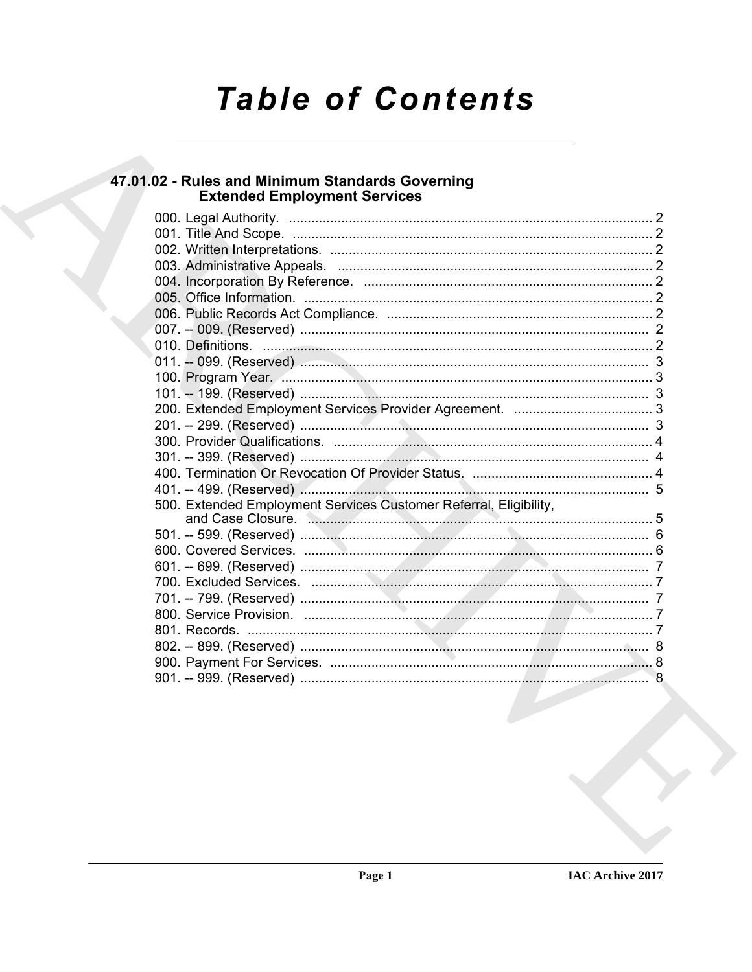# **Table of Contents**

# 47.01.02 - Rules and Minimum Standards Governing<br>Extended Employment Services

| 500. Extended Employment Services Customer Referral, Eligibility, |  |
|-------------------------------------------------------------------|--|
|                                                                   |  |
|                                                                   |  |
|                                                                   |  |
|                                                                   |  |
|                                                                   |  |
|                                                                   |  |
|                                                                   |  |
|                                                                   |  |
|                                                                   |  |
|                                                                   |  |
|                                                                   |  |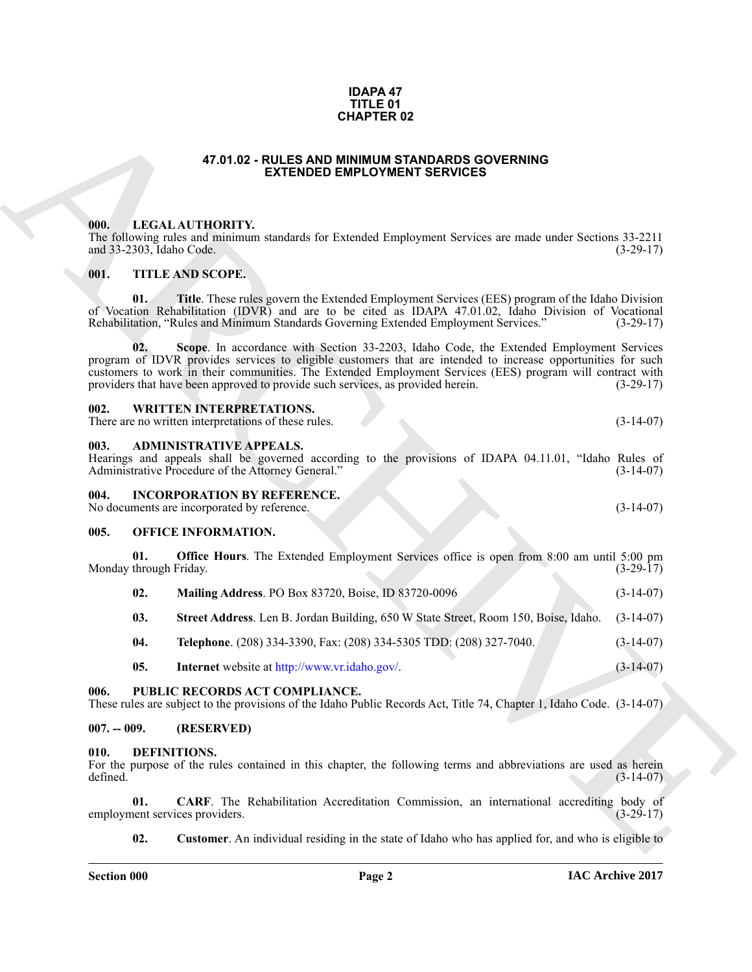### **IDAPA 47 TITLE 01 CHAPTER 02**

### **47.01.02 - RULES AND MINIMUM STANDARDS GOVERNING EXTENDED EMPLOYMENT SERVICES**

### <span id="page-1-1"></span><span id="page-1-0"></span>**000. LEGAL AUTHORITY.**

The following rules and minimum standards for Extended Employment Services are made under Sections 33-2211 and 33-2303, Idaho Code. (3-29-17) and 33-2303, Idaho Code.

### <span id="page-1-2"></span>**001. TITLE AND SCOPE.**

**01. Title**. These rules govern the Extended Employment Services (EES) program of the Idaho Division of Vocation Rehabilitation (IDVR) and are to be cited as IDAPA 47.01.02, Idaho Division of Vocational Rehabilitation, "Rules and Minimum Standards Governing Extended Employment Services." (3-29-17) Rehabilitation, "Rules and Minimum Standards Governing Extended Employment Services."

**CHAPTER 02**<br>
47.01.82 - **EXTEMOID EMPIRENTS.**<br> **CHAPTER 02**<br> **CHAPTER 02**<br> **CHAPTER 02**<br> **CHAPTER 02**<br> **CHAPTER 02**<br> **CHAPTER 02**<br> **CHAPTER 02**<br> **CHAPTER 02**<br> **CHAPTER 02**<br> **CHAPTER 02**<br> **CHAPTER 02**<br> **CHAPTER 02**<br> **CHAP 02. Scope**. In accordance with Section 33-2203, Idaho Code, the Extended Employment Services program of IDVR provides services to eligible customers that are intended to increase opportunities for such customers to work in their communities. The Extended Employment Services (EES) program will contract with providers that have been approved to provide such services, as provided herein. (3-29-17) providers that have been approved to provide such services, as provided herein.

<span id="page-1-3"></span>

| 002. | <b>WRITTEN INTERPRETATIONS.</b> |
|------|---------------------------------|
|      |                                 |

There are no written interpretations of these rules. (3-14-07)

### <span id="page-1-4"></span>**003. ADMINISTRATIVE APPEALS.**

Hearings and appeals shall be governed according to the provisions of IDAPA 04.11.01, "Idaho Rules of Administrative Procedure of the Attorney General." (3-14-07) Administrative Procedure of the Attorney General."

### <span id="page-1-5"></span>**004. INCORPORATION BY REFERENCE.**

No documents are incorporated by reference. (3-14-07)

### <span id="page-1-6"></span>**005. OFFICE INFORMATION.**

**01. Office Hours**. The Extended Employment Services office is open from 8:00 am until 5:00 pm through Friday. (3-29-17) Monday through Friday.

| 02. | Mailing Address. PO Box 83720, Boise, ID 83720-0096                                           | $(3-14-07)$ |
|-----|-----------------------------------------------------------------------------------------------|-------------|
| 03. | Street Address. Len B. Jordan Building, 650 W State Street, Room 150, Boise, Idaho. (3-14-07) |             |

**04. Telephone**. (208) 334-3390, Fax: (208) 334-5305 TDD: (208) 327-7040. (3-14-07)

**05.** Internet website at http://www.vr.idaho.gov/. (3-14-07)

### <span id="page-1-7"></span>**006. PUBLIC RECORDS ACT COMPLIANCE.**

These rules are subject to the provisions of the Idaho Public Records Act, Title 74, Chapter 1, Idaho Code. (3-14-07)

### <span id="page-1-8"></span>**007. -- 009. (RESERVED)**

### <span id="page-1-10"></span><span id="page-1-9"></span>**010. DEFINITIONS.**

For the purpose of the rules contained in this chapter, the following terms and abbreviations are used as herein defined. (3-14-07) defined.  $(3-14-07)$ 

**01. CARF**. The Rehabilitation Accreditation Commission, an international accrediting body of nent services providers. (3-29-17) employment services providers.

<span id="page-1-12"></span><span id="page-1-11"></span>**02.** Customer. An individual residing in the state of Idaho who has applied for, and who is eligible to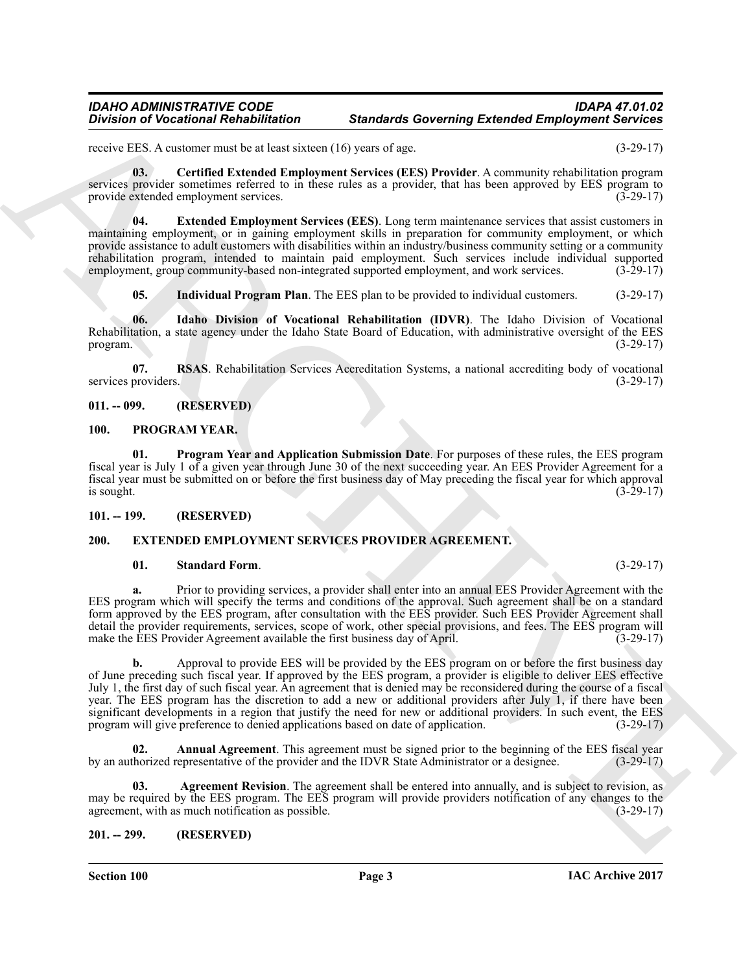### *IDAHO ADMINISTRATIVE CODE IDAPA 47.01.02 Standards Governing Extended Employment Services*

receive EES. A customer must be at least sixteen (16) years of age. (3-29-17)

<span id="page-2-5"></span>**03. Certified Extended Employment Services (EES) Provider**. A community rehabilitation program services provider sometimes referred to in these rules as a provider, that has been approved by EES program to provide extended employment services. (3-29-17)

<span id="page-2-6"></span>**04. Extended Employment Services (EES)**. Long term maintenance services that assist customers in maintaining employment, or in gaining employment skills in preparation for community employment, or which provide assistance to adult customers with disabilities within an industry/business community setting or a community rehabilitation program, intended to maintain paid employment. Such services include individual supported employment, group community-based non-integrated supported employment, and work services.

<span id="page-2-9"></span><span id="page-2-8"></span><span id="page-2-7"></span>**05. Individual Program Plan**. The EES plan to be provided to individual customers. (3-29-17)

**06. Idaho Division of Vocational Rehabilitation (IDVR)**. The Idaho Division of Vocational Rehabilitation, a state agency under the Idaho State Board of Education, with administrative oversight of the EES program. (3-29-17) program.  $(3-29-17)$ 

**07. RSAS**. Rehabilitation Services Accreditation Systems, a national accrediting body of vocational providers. (3-29-17) services providers.

### <span id="page-2-0"></span>**011. -- 099. (RESERVED)**

### <span id="page-2-15"></span><span id="page-2-14"></span><span id="page-2-1"></span>**100. PROGRAM YEAR.**

**01. Program Year and Application Submission Date**. For purposes of these rules, the EES program fiscal year is July 1 of a given year through June 30 of the next succeeding year. An EES Provider Agreement for a fiscal year must be submitted on or before the first business day of May preceding the fiscal year for which approval is sought.  $(3-29-17)$ 

### <span id="page-2-2"></span>**101. -- 199. (RESERVED)**

### <span id="page-2-3"></span>**200. EXTENDED EMPLOYMENT SERVICES PROVIDER AGREEMENT.**

### <span id="page-2-13"></span><span id="page-2-10"></span>**01. Standard Form**. (3-29-17)

**a.** Prior to providing services, a provider shall enter into an annual EES Provider Agreement with the EES program which will specify the terms and conditions of the approval. Such agreement shall be on a standard form approved by the EES program, after consultation with the EES provider. Such EES Provider Agreement shall detail the provider requirements, services, scope of work, other special provisions, and fees. The EES program will make the EES Provider Agreement available the first business day of April.

**Division of Victorional Redubitation Standards Governing Ertended Employment Services<br>
SECULAR ARCHIVES AND ARCHIVES (NEW YORK ASSESS AND ARCHIVES ARCHIVES AND ARCHIVES ARCHIVES (NEW YORK ARCHIVES ARCHIVES AND ARCHIVES A b.** Approval to provide EES will be provided by the EES program on or before the first business day of June preceding such fiscal year. If approved by the EES program, a provider is eligible to deliver EES effective July 1, the first day of such fiscal year. An agreement that is denied may be reconsidered during the course of a fiscal year. The EES program has the discretion to add a new or additional providers after July 1, if there have been significant developments in a region that justify the need for new or additional providers. In such event, the EES program will give preference to denied applications based on date of application. (3-29-17)

<span id="page-2-12"></span>**Annual Agreement**. This agreement must be signed prior to the beginning of the EES fiscal year representative of the provider and the IDVR State Administrator or a designee. (3-29-17) by an authorized representative of the provider and the IDVR State Administrator or a designee.

<span id="page-2-11"></span>**03. Agreement Revision**. The agreement shall be entered into annually, and is subject to revision, as may be required by the EES program. The EES program will provide providers notification of any changes to the agreement, with as much notification as possible. (3-29-17) agreement, with as much notification as possible.

### <span id="page-2-4"></span>**201. -- 299. (RESERVED)**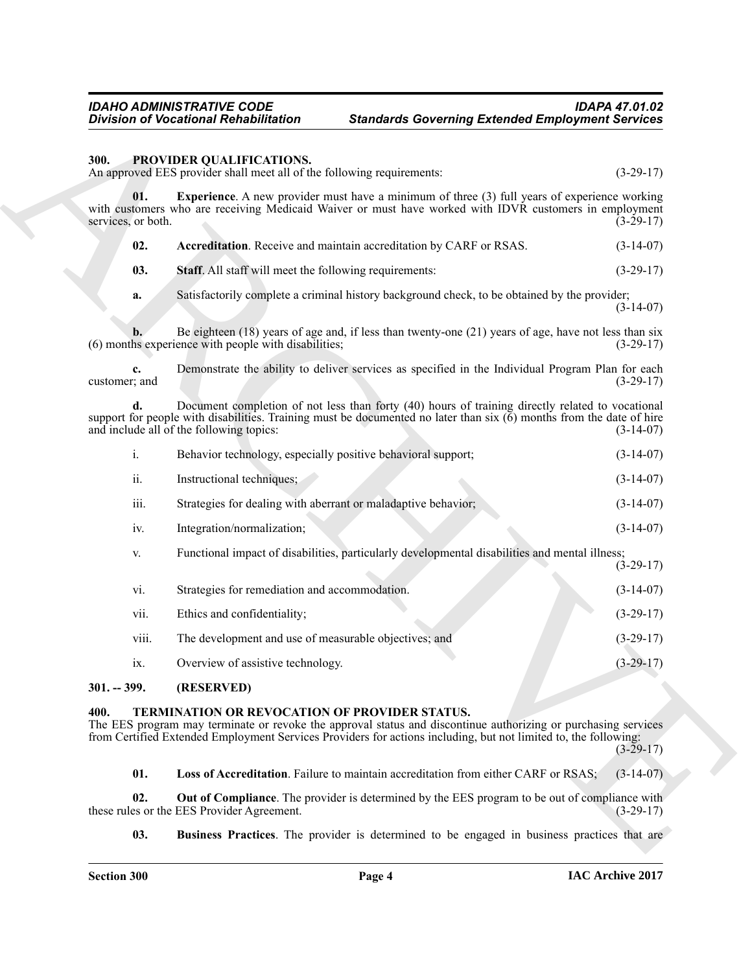### <span id="page-3-3"></span><span id="page-3-0"></span>**300. PROVIDER QUALIFICATIONS.**

<span id="page-3-6"></span><span id="page-3-5"></span><span id="page-3-4"></span>

| 02. | <b>Accreditation</b> . Receive and maintain accreditation by CARF or RSAS. | $(3-14-07)$ |
|-----|----------------------------------------------------------------------------|-------------|
|-----|----------------------------------------------------------------------------|-------------|

|                           | <b>Division of Vocational Rehabilitation</b>                                                       | <b>Standards Governing Extended Employment Services</b>                                                                                                                                                                           |             |
|---------------------------|----------------------------------------------------------------------------------------------------|-----------------------------------------------------------------------------------------------------------------------------------------------------------------------------------------------------------------------------------|-------------|
| 300.                      | PROVIDER QUALIFICATIONS.<br>An approved EES provider shall meet all of the following requirements: |                                                                                                                                                                                                                                   | $(3-29-17)$ |
| 01.<br>services, or both. |                                                                                                    | <b>Experience.</b> A new provider must have a minimum of three (3) full years of experience working<br>with customers who are receiving Medicaid Waiver or must have worked with IDVR customers in employment                     | $(3-29-17)$ |
| 02.                       | Accreditation. Receive and maintain accreditation by CARF or RSAS.                                 |                                                                                                                                                                                                                                   | $(3-14-07)$ |
| 03.                       | <b>Staff.</b> All staff will meet the following requirements:                                      |                                                                                                                                                                                                                                   | $(3-29-17)$ |
| a.                        |                                                                                                    | Satisfactorily complete a criminal history background check, to be obtained by the provider;                                                                                                                                      | $(3-14-07)$ |
| b.                        | (6) months experience with people with disabilities;                                               | Be eighteen $(18)$ years of age and, if less than twenty-one $(21)$ years of age, have not less than six                                                                                                                          | $(3-29-17)$ |
| c.<br>customer; and       |                                                                                                    | Demonstrate the ability to deliver services as specified in the Individual Program Plan for each                                                                                                                                  | $(3-29-17)$ |
| d.                        | and include all of the following topics:                                                           | Document completion of not less than forty (40) hours of training directly related to vocational<br>support for people with disabilities. Training must be documented no later than $\dot{x}$ (6) months from the date of hire    | $(3-14-07)$ |
| i.                        | Behavior technology, especially positive behavioral support;                                       |                                                                                                                                                                                                                                   | $(3-14-07)$ |
| ii.                       | Instructional techniques;                                                                          |                                                                                                                                                                                                                                   | $(3-14-07)$ |
| iii.                      | Strategies for dealing with aberrant or maladaptive behavior;                                      |                                                                                                                                                                                                                                   | $(3-14-07)$ |
| iv.                       | Integration/normalization;                                                                         |                                                                                                                                                                                                                                   | $(3-14-07)$ |
| V.                        |                                                                                                    | Functional impact of disabilities, particularly developmental disabilities and mental illness;                                                                                                                                    | $(3-29-17)$ |
| vi.                       | Strategies for remediation and accommodation.                                                      |                                                                                                                                                                                                                                   | $(3-14-07)$ |
| vii.                      | Ethics and confidentiality;                                                                        |                                                                                                                                                                                                                                   | $(3-29-17)$ |
| viii.                     | The development and use of measurable objectives; and                                              |                                                                                                                                                                                                                                   | $(3-29-17)$ |
| ix.                       | Overview of assistive technology.                                                                  |                                                                                                                                                                                                                                   | $(3-29-17)$ |
| $301. - 399.$             | (RESERVED)                                                                                         |                                                                                                                                                                                                                                   |             |
| 400.                      | TERMINATION OR REVOCATION OF PROVIDER STATUS.                                                      | The EES program may terminate or revoke the approval status and discontinue authorizing or purchasing services<br>from Certified Extended Employment Services Providers for actions including, but not limited to, the following: | $(3-29-17)$ |
| 01.                       |                                                                                                    | Loss of Accreditation. Failure to maintain accreditation from either CARF or RSAS;                                                                                                                                                | $(3-14-07)$ |
| 02.                       | these rules or the EES Provider Agreement.                                                         | <b>Out of Compliance</b> . The provider is determined by the EES program to be out of compliance with                                                                                                                             | $(3-29-17)$ |
| 03.                       |                                                                                                    | <b>Business Practices</b> . The provider is determined to be engaged in business practices that are                                                                                                                               |             |

### <span id="page-3-1"></span>**301. -- 399. (RESERVED)**

### <span id="page-3-10"></span><span id="page-3-9"></span><span id="page-3-8"></span><span id="page-3-7"></span><span id="page-3-2"></span>**400. TERMINATION OR REVOCATION OF PROVIDER STATUS.**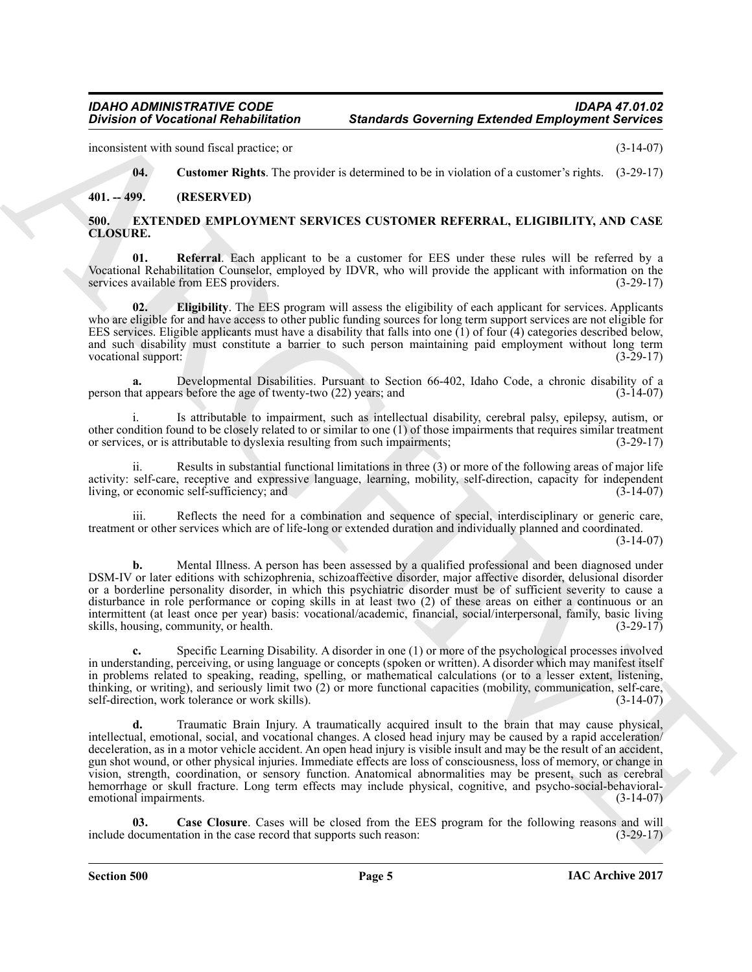inconsistent with sound fiscal practice; or (3-14-07)

<span id="page-4-6"></span><span id="page-4-2"></span>**04. Customer Rights**. The provider is determined to be in violation of a customer's rights. (3-29-17)

<span id="page-4-0"></span>**401. -- 499. (RESERVED)**

### <span id="page-4-1"></span>**500. EXTENDED EMPLOYMENT SERVICES CUSTOMER REFERRAL, ELIGIBILITY, AND CASE CLOSURE.**

<span id="page-4-5"></span>**01. Referral**. Each applicant to be a customer for EES under these rules will be referred by a Vocational Rehabilitation Counselor, employed by IDVR, who will provide the applicant with information on the services available from EES providers. (3-29-17) services available from EES providers.

<span id="page-4-4"></span>**02. Eligibility**. The EES program will assess the eligibility of each applicant for services. Applicants who are eligible for and have access to other public funding sources for long term support services are not eligible for EES services. Eligible applicants must have a disability that falls into one  $(1)$  of four  $(4)$  categories described below, and such disability must constitute a barrier to such person maintaining paid employment without long term<br>vocational support: (3-29-17) vocational support:

**a.** Developmental Disabilities. Pursuant to Section 66-402, Idaho Code, a chronic disability of a nat appears before the age of twenty-two (22) years; and  $(3-14-07)$ person that appears before the age of twenty-two  $(22)$  years; and

i. Is attributable to impairment, such as intellectual disability, cerebral palsy, epilepsy, autism, or other condition found to be closely related to or similar to one (1) of those impairments that requires similar treatment or services, or is attributable to dyslexia resulting from such impairments; (3-29-17)

ii. Results in substantial functional limitations in three (3) or more of the following areas of major life activity: self-care, receptive and expressive language, learning, mobility, self-direction, capacity for independent living, or economic self-sufficiency; and

iii. Reflects the need for a combination and sequence of special, interdisciplinary or generic care, treatment or other services which are of life-long or extended duration and individually planned and coordinated. (3-14-07)

**b.** Mental Illness. A person has been assessed by a qualified professional and been diagnosed under DSM-IV or later editions with schizophrenia, schizoaffective disorder, major affective disorder, delusional disorder or a borderline personality disorder, in which this psychiatric disorder must be of sufficient severity to cause a disturbance in role performance or coping skills in at least two (2) of these areas on either a continuous or an intermittent (at least once per year) basis: vocational/academic, financial, social/interpersonal, family, basic living skills. housing, community, or health. (3-29-17) skills, housing, community, or health.

**c.** Specific Learning Disability. A disorder in one (1) or more of the psychological processes involved in understanding, perceiving, or using language or concepts (spoken or written). A disorder which may manifest itself in problems related to speaking, reading, spelling, or mathematical calculations (or to a lesser extent, listening, thinking, or writing), and seriously limit two (2) or more functional capacities (mobility, communication, self-care, self-direction, work tolerance or work skills). self-direction, work tolerance or work skills).

Division of Victoriani Redukshand on Standards Governing Ertended Employment Services<br>
measures were used the standard process on the standard service is a consent of a consent of the standard process of the standard proc **d.** Traumatic Brain Injury. A traumatically acquired insult to the brain that may cause physical, intellectual, emotional, social, and vocational changes. A closed head injury may be caused by a rapid acceleration/ deceleration, as in a motor vehicle accident. An open head injury is visible insult and may be the result of an accident, gun shot wound, or other physical injuries. Immediate effects are loss of consciousness, loss of memory, or change in vision, strength, coordination, or sensory function. Anatomical abnormalities may be present, such as cerebral hemorrhage or skull fracture. Long term effects may include physical, cognitive, and psycho-social-behavioral-<br>emotional impairments. (3-14-07) emotional impairments.

<span id="page-4-3"></span>**Case Closure**. Cases will be closed from the EES program for the following reasons and will ation in the case record that supports such reason:  $(3-29-17)$ include documentation in the case record that supports such reason:

**Section 500 Page 5**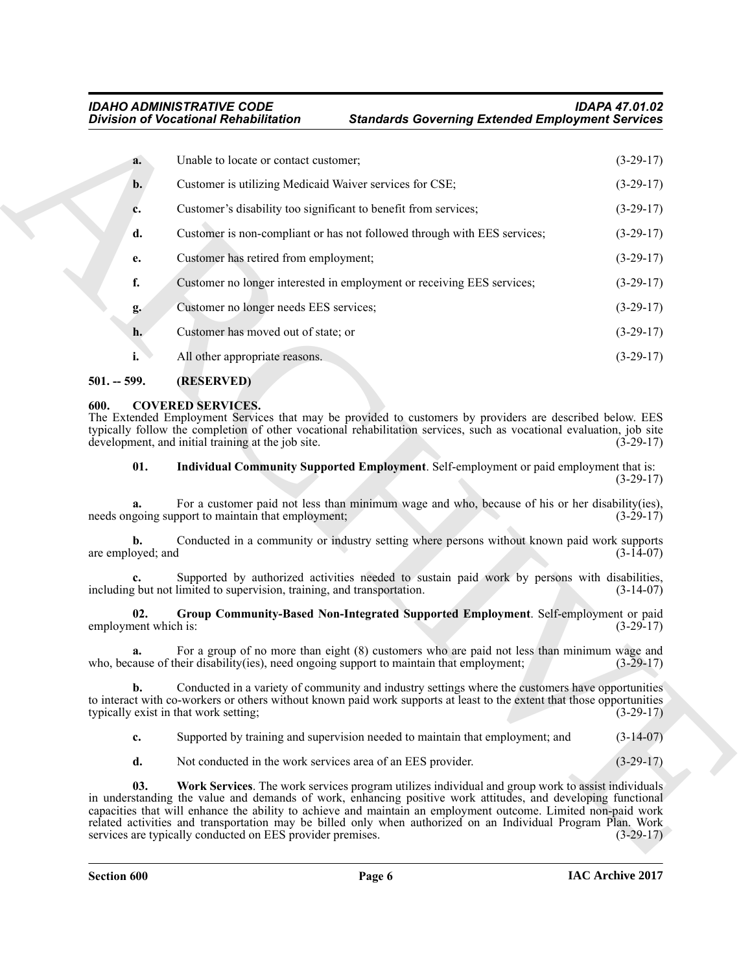|                             | <b>Division of Vocational Rehabilitation</b>                                   | <b>Standards Governing Extended Employment Services</b>                                                                                                                                                                                                                                                                                                                                                                                            |             |
|-----------------------------|--------------------------------------------------------------------------------|----------------------------------------------------------------------------------------------------------------------------------------------------------------------------------------------------------------------------------------------------------------------------------------------------------------------------------------------------------------------------------------------------------------------------------------------------|-------------|
| a.                          | Unable to locate or contact customer;                                          |                                                                                                                                                                                                                                                                                                                                                                                                                                                    | $(3-29-17)$ |
| $b$ .                       | Customer is utilizing Medicaid Waiver services for CSE;                        |                                                                                                                                                                                                                                                                                                                                                                                                                                                    | $(3-29-17)$ |
| c.                          |                                                                                | Customer's disability too significant to benefit from services;                                                                                                                                                                                                                                                                                                                                                                                    | $(3-29-17)$ |
| d.                          |                                                                                | Customer is non-compliant or has not followed through with EES services;                                                                                                                                                                                                                                                                                                                                                                           | $(3-29-17)$ |
| e.                          | Customer has retired from employment;                                          |                                                                                                                                                                                                                                                                                                                                                                                                                                                    | $(3-29-17)$ |
| f.                          |                                                                                | Customer no longer interested in employment or receiving EES services;                                                                                                                                                                                                                                                                                                                                                                             | $(3-29-17)$ |
| g.                          | Customer no longer needs EES services;                                         |                                                                                                                                                                                                                                                                                                                                                                                                                                                    | $(3-29-17)$ |
| h.                          | Customer has moved out of state; or                                            |                                                                                                                                                                                                                                                                                                                                                                                                                                                    | $(3-29-17)$ |
| i.                          | All other appropriate reasons.                                                 |                                                                                                                                                                                                                                                                                                                                                                                                                                                    | $(3-29-17)$ |
| $501. - 599.$               | (RESERVED)                                                                     |                                                                                                                                                                                                                                                                                                                                                                                                                                                    |             |
| 600.                        | <b>COVERED SERVICES.</b><br>development, and initial training at the job site. | The Extended Employment Services that may be provided to customers by providers are described below. EES<br>typically follow the completion of other vocational rehabilitation services, such as vocational evaluation, job site                                                                                                                                                                                                                   | $(3-29-17)$ |
| 01.                         |                                                                                | Individual Community Supported Employment. Self-employment or paid employment that is:                                                                                                                                                                                                                                                                                                                                                             | $(3-29-17)$ |
|                             | needs ongoing support to maintain that employment;                             | For a customer paid not less than minimum wage and who, because of his or her disability(ies),                                                                                                                                                                                                                                                                                                                                                     | $(3-29-17)$ |
| b.<br>are employed; and     |                                                                                | Conducted in a community or industry setting where persons without known paid work supports                                                                                                                                                                                                                                                                                                                                                        | $(3-14-07)$ |
|                             | including but not limited to supervision, training, and transportation.        | Supported by authorized activities needed to sustain paid work by persons with disabilities,                                                                                                                                                                                                                                                                                                                                                       | $(3-14-07)$ |
| 02.<br>employment which is: |                                                                                | Group Community-Based Non-Integrated Supported Employment. Self-employment or paid                                                                                                                                                                                                                                                                                                                                                                 | $(3-29-17)$ |
| a.                          |                                                                                | For a group of no more than eight (8) customers who are paid not less than minimum wage and<br>who, because of their disability(ies), need ongoing support to maintain that employment;                                                                                                                                                                                                                                                            | $(3-29-17)$ |
| b.                          | typically exist in that work setting;                                          | Conducted in a variety of community and industry settings where the customers have opportunities<br>to interact with co-workers or others without known paid work supports at least to the extent that those opportunities                                                                                                                                                                                                                         | $(3-29-17)$ |
| c.                          |                                                                                | Supported by training and supervision needed to maintain that employment; and                                                                                                                                                                                                                                                                                                                                                                      | $(3-14-07)$ |
| d.                          |                                                                                | Not conducted in the work services area of an EES provider.                                                                                                                                                                                                                                                                                                                                                                                        | $(3-29-17)$ |
| 03.                         | services are typically conducted on EES provider premises.                     | Work Services. The work services program utilizes individual and group work to assist individuals<br>in understanding the value and demands of work, enhancing positive work attitudes, and developing functional<br>capacities that will enhance the ability to achieve and maintain an employment outcome. Limited non-paid work<br>related activities and transportation may be billed only when authorized on an Individual Program Plan. Work | $(3-29-17)$ |

### <span id="page-5-0"></span>**501. -- 599. (RESERVED)**

### <span id="page-5-5"></span><span id="page-5-4"></span><span id="page-5-3"></span><span id="page-5-2"></span><span id="page-5-1"></span>**600. COVERED SERVICES.**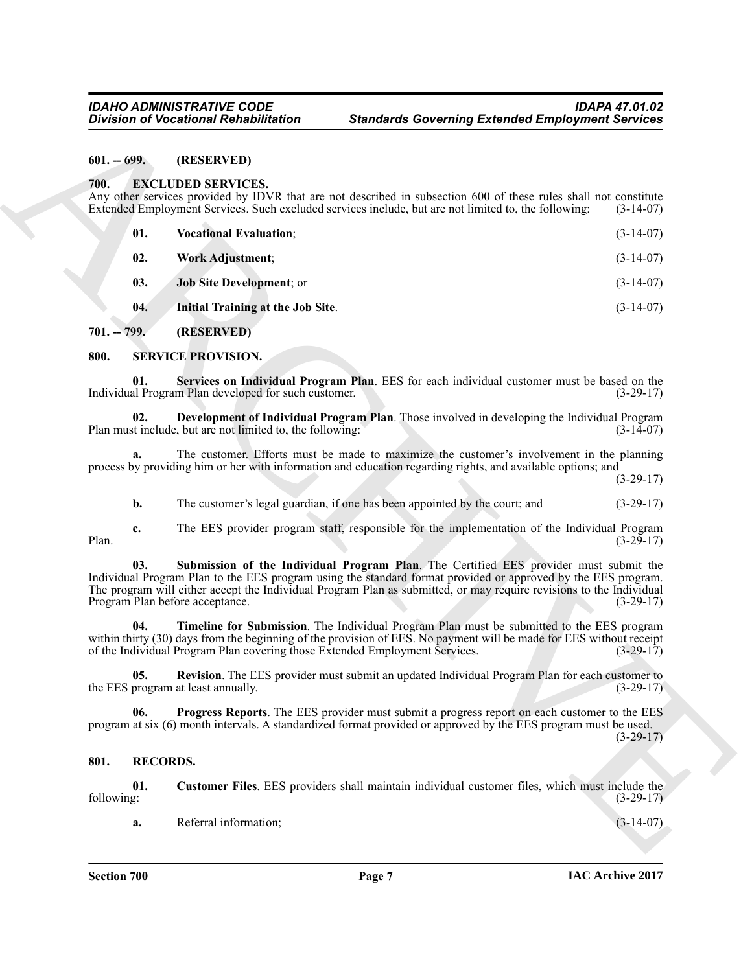### <span id="page-6-9"></span><span id="page-6-8"></span><span id="page-6-5"></span><span id="page-6-1"></span><span id="page-6-0"></span>**700. EXCLUDED SERVICES.**

|                   | <b>Division of Vocational Rehabilitation</b>                                | <b>Standards Governing Extended Employment Services</b>                                                                                                                                                                                                                                                                       |             |
|-------------------|-----------------------------------------------------------------------------|-------------------------------------------------------------------------------------------------------------------------------------------------------------------------------------------------------------------------------------------------------------------------------------------------------------------------------|-------------|
| $601. - 699.$     | (RESERVED)                                                                  |                                                                                                                                                                                                                                                                                                                               |             |
| 700.              | <b>EXCLUDED SERVICES.</b>                                                   | Any other services provided by IDVR that are not described in subsection 600 of these rules shall not constitute<br>Extended Employment Services. Such excluded services include, but are not limited to, the following:                                                                                                      | $(3-14-07)$ |
| 01.               | <b>Vocational Evaluation;</b>                                               |                                                                                                                                                                                                                                                                                                                               | $(3-14-07)$ |
| 02.               | Work Adjustment;                                                            |                                                                                                                                                                                                                                                                                                                               | $(3-14-07)$ |
| 03.               | Job Site Development; or                                                    |                                                                                                                                                                                                                                                                                                                               | $(3-14-07)$ |
| 04.               | Initial Training at the Job Site.                                           |                                                                                                                                                                                                                                                                                                                               | $(3-14-07)$ |
| $701. - 799.$     | (RESERVED)                                                                  |                                                                                                                                                                                                                                                                                                                               |             |
| 800.              | <b>SERVICE PROVISION.</b>                                                   |                                                                                                                                                                                                                                                                                                                               |             |
| 01.               | Individual Program Plan developed for such customer.                        | Services on Individual Program Plan. EES for each individual customer must be based on the                                                                                                                                                                                                                                    | $(3-29-17)$ |
| 02.               | Plan must include, but are not limited to, the following:                   | Development of Individual Program Plan. Those involved in developing the Individual Program                                                                                                                                                                                                                                   | $(3-14-07)$ |
| a.                |                                                                             | The customer. Efforts must be made to maximize the customer's involvement in the planning<br>process by providing him or her with information and education regarding rights, and available options; and                                                                                                                      | $(3-29-17)$ |
| b.                |                                                                             | The customer's legal guardian, if one has been appointed by the court; and                                                                                                                                                                                                                                                    | $(3-29-17)$ |
| c.<br>Plan.       |                                                                             | The EES provider program staff, responsible for the implementation of the Individual Program                                                                                                                                                                                                                                  | $(3-29-17)$ |
| 03.               | Program Plan before acceptance.                                             | Submission of the Individual Program Plan. The Certified EES provider must submit the<br>Individual Program Plan to the EES program using the standard format provided or approved by the EES program.<br>The program will either accept the Individual Program Plan as submitted, or may require revisions to the Individual | $(3-29-17)$ |
| 04.               | of the Individual Program Plan covering those Extended Employment Services. | Timeline for Submission. The Individual Program Plan must be submitted to the EES program<br>within thirty (30) days from the beginning of the provision of EES. No payment will be made for EES without receipt                                                                                                              | $(3-29-17)$ |
| 05.               | the EES program at least annually.                                          | Revision. The EES provider must submit an updated Individual Program Plan for each customer to                                                                                                                                                                                                                                | $(3-29-17)$ |
| 06.               |                                                                             | Progress Reports. The EES provider must submit a progress report on each customer to the EES<br>program at six (6) month intervals. A standardized format provided or approved by the EES program must be used.                                                                                                               | $(3-29-17)$ |
| 801.              | <b>RECORDS.</b>                                                             |                                                                                                                                                                                                                                                                                                                               |             |
| 01.<br>following: |                                                                             | Customer Files. EES providers shall maintain individual customer files, which must include the                                                                                                                                                                                                                                | $(3-29-17)$ |
|                   |                                                                             |                                                                                                                                                                                                                                                                                                                               |             |

### <span id="page-6-17"></span><span id="page-6-16"></span><span id="page-6-13"></span><span id="page-6-12"></span><span id="page-6-7"></span><span id="page-6-6"></span><span id="page-6-3"></span><span id="page-6-2"></span>**800. SERVICE PROVISION.**

### <span id="page-6-18"></span><span id="page-6-15"></span><span id="page-6-14"></span><span id="page-6-11"></span><span id="page-6-10"></span><span id="page-6-4"></span>**801. RECORDS.**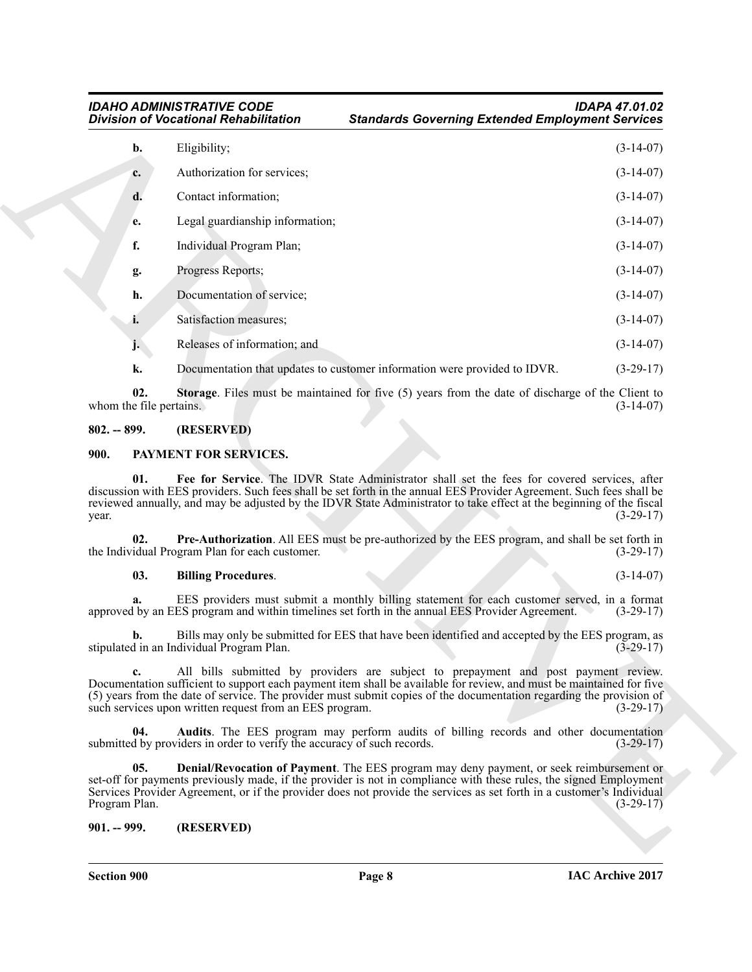| IDAHO ADMINISTRATIVE CODE             |  |
|---------------------------------------|--|
| Division of Vocational Rehabilitation |  |

*IDAHO ADMINISTRATIVE CODE IDAPA 47.01.02 Standards Governing Extended Employment Services* 

|                                | <b>Division of Vocational Rehabilitation</b>                            | <b>Standards Governing Extended Employment Services</b>                                                                                                                                                                                                                                                                                      |                                           |
|--------------------------------|-------------------------------------------------------------------------|----------------------------------------------------------------------------------------------------------------------------------------------------------------------------------------------------------------------------------------------------------------------------------------------------------------------------------------------|-------------------------------------------|
| b.                             | Eligibility;                                                            |                                                                                                                                                                                                                                                                                                                                              | $(3-14-07)$                               |
| c.                             | Authorization for services;                                             |                                                                                                                                                                                                                                                                                                                                              | $(3-14-07)$                               |
| d.                             | Contact information;                                                    |                                                                                                                                                                                                                                                                                                                                              | $(3-14-07)$                               |
| e.                             | Legal guardianship information;                                         |                                                                                                                                                                                                                                                                                                                                              | $(3-14-07)$                               |
| f.                             | Individual Program Plan;                                                |                                                                                                                                                                                                                                                                                                                                              | $(3-14-07)$                               |
| g.                             | Progress Reports;                                                       |                                                                                                                                                                                                                                                                                                                                              | $(3-14-07)$                               |
| h.                             | Documentation of service;                                               |                                                                                                                                                                                                                                                                                                                                              | $(3-14-07)$                               |
| i.                             | Satisfaction measures;                                                  |                                                                                                                                                                                                                                                                                                                                              | $(3-14-07)$                               |
| j.                             | Releases of information; and                                            |                                                                                                                                                                                                                                                                                                                                              | $(3-14-07)$                               |
| k.                             |                                                                         | Documentation that updates to customer information were provided to IDVR.                                                                                                                                                                                                                                                                    | $(3-29-17)$                               |
| 02.<br>whom the file pertains. |                                                                         | <b>Storage</b> . Files must be maintained for five (5) years from the date of discharge of the Client to                                                                                                                                                                                                                                     | $(3-14-07)$                               |
| $802. - 899.$                  | (RESERVED)                                                              |                                                                                                                                                                                                                                                                                                                                              |                                           |
| 900.                           | PAYMENT FOR SERVICES.                                                   |                                                                                                                                                                                                                                                                                                                                              |                                           |
| 01.<br>year.                   |                                                                         | Fee for Service. The IDVR State Administrator shall set the fees for covered services, after<br>discussion with EES providers. Such fees shall be set forth in the annual EES Provider Agreement. Such fees shall be<br>reviewed annually, and may be adjusted by the IDVR State Administrator to take effect at the beginning of the fiscal | $(3-29-17)$                               |
| 02.                            | the Individual Program Plan for each customer.                          | Pre-Authorization. All EES must be pre-authorized by the EES program, and shall be set forth in                                                                                                                                                                                                                                              | $(3-29-17)$                               |
| 03.                            | <b>Billing Procedures.</b>                                              |                                                                                                                                                                                                                                                                                                                                              | $(3-14-07)$                               |
| a.                             |                                                                         | EES providers must submit a monthly billing statement for each customer served, in a format<br>approved by an EES program and within timelines set forth in the annual EES Provider Agreement.                                                                                                                                               | $(3-29-17)$                               |
|                                |                                                                         |                                                                                                                                                                                                                                                                                                                                              |                                           |
|                                | stipulated in an Individual Program Plan.                               | Bills may only be submitted for EES that have been identified and accepted by the EES program, as                                                                                                                                                                                                                                            |                                           |
| c.                             | such services upon written request from an EES program.                 | All bills submitted by providers are subject to prepayment and post payment review.<br>Documentation sufficient to support each payment item shall be available for review, and must be maintained for five<br>(5) years from the date of service. The provider must submit copies of the documentation regarding the provision of           | $(3-29-17)$                               |
| 04.                            | submitted by providers in order to verify the accuracy of such records. | Audits. The EES program may perform audits of billing records and other documentation                                                                                                                                                                                                                                                        |                                           |
| 05.<br>Program Plan.           |                                                                         | Denial/Revocation of Payment. The EES program may deny payment, or seek reimbursement or<br>set-off for payments previously made, if the provider is not in compliance with these rules, the signed Employment<br>Services Provider Agreement, or if the provider does not provide the services as set forth in a customer's Individual      | $(3-29-17)$<br>$(3-29-17)$<br>$(3-29-17)$ |

### <span id="page-7-9"></span><span id="page-7-0"></span>**802. -- 899. (RESERVED)**

### <span id="page-7-7"></span><span id="page-7-3"></span><span id="page-7-1"></span>**900. PAYMENT FOR SERVICES.**

### <span id="page-7-8"></span><span id="page-7-5"></span>**03. Billing Procedures**. (3-14-07)

### <span id="page-7-6"></span><span id="page-7-4"></span><span id="page-7-2"></span>**901. -- 999. (RESERVED)**